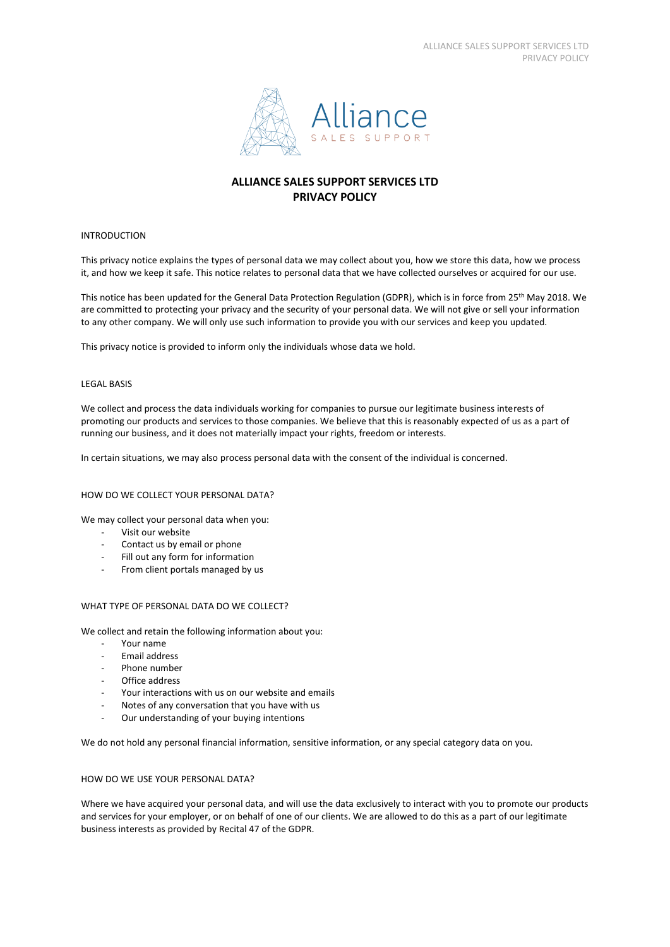

# **ALLIANCE SALES SUPPORT SERVICES LTD PRIVACY POLICY**

# INTRODUCTION

This privacy notice explains the types of personal data we may collect about you, how we store this data, how we process it, and how we keep it safe. This notice relates to personal data that we have collected ourselves or acquired for our use.

This notice has been updated for the General Data Protection Regulation (GDPR), which is in force from 25<sup>th</sup> May 2018. We are committed to protecting your privacy and the security of your personal data. We will not give or sell your information to any other company. We will only use such information to provide you with our services and keep you updated.

This privacy notice is provided to inform only the individuals whose data we hold.

## LEGAL BASIS

We collect and process the data individuals working for companies to pursue our legitimate business interests of promoting our products and services to those companies. We believe that this is reasonably expected of us as a part of running our business, and it does not materially impact your rights, freedom or interests.

In certain situations, we may also process personal data with the consent of the individual is concerned.

### HOW DO WE COLLECT YOUR PERSONAL DATA?

We may collect your personal data when you:

- Visit our website
- Contact us by email or phone
- Fill out any form for information
- From client portals managed by us

### WHAT TYPE OF PERSONAL DATA DO WE COLLECT?

We collect and retain the following information about you:

- Your name
- Email address
- Phone number
- Office address
- Your interactions with us on our website and emails
- Notes of any conversation that you have with us
- Our understanding of your buying intentions

We do not hold any personal financial information, sensitive information, or any special category data on you.

## HOW DO WE USE YOUR PERSONAL DATA?

Where we have acquired your personal data, and will use the data exclusively to interact with you to promote our products and services for your employer, or on behalf of one of our clients. We are allowed to do this as a part of our legitimate business interests as provided by Recital 47 of the GDPR.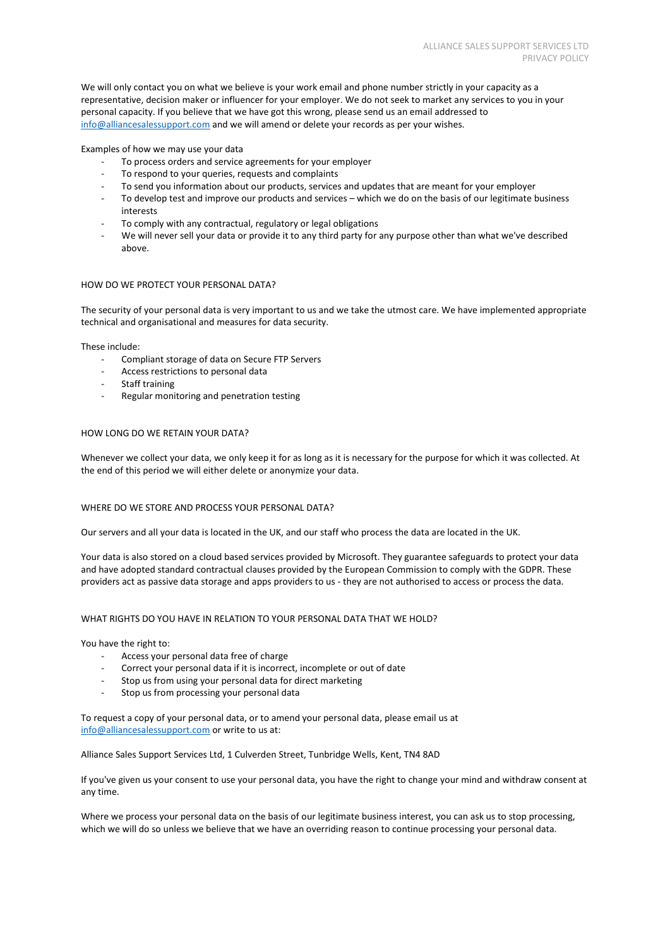We will only contact you on what we believe is your work email and phone number strictly in your capacity as a representative, decision maker or influencer for your employer. We do not seek to market any services to you in your personal capacity. If you believe that we have got this wrong, please send us an email addressed to [info@alliancesalessupport.com](mailto:info@alliancesalessupport.com) and we will amend or delete your records as per your wishes.

Examples of how we may use your data

- To process orders and service agreements for your employer
- To respond to your queries, requests and complaints
- To send you information about our products, services and updates that are meant for your employer
- To develop test and improve our products and services which we do on the basis of our legitimate business interests
- To comply with any contractual, regulatory or legal obligations
- We will never sell your data or provide it to any third party for any purpose other than what we've described above.

## HOW DO WE PROTECT YOUR PERSONAL DATA?

The security of your personal data is very important to us and we take the utmost care. We have implemented appropriate technical and organisational and measures for data security.

These include:

- Compliant storage of data on Secure FTP Servers
- Access restrictions to personal data
- Staff training
- Regular monitoring and penetration testing

## HOW LONG DO WE RETAIN YOUR DATA?

Whenever we collect your data, we only keep it for as long as it is necessary for the purpose for which it was collected. At the end of this period we will either delete or anonymize your data.

### WHERE DO WE STORE AND PROCESS YOUR PERSONAL DATA?

Our servers and all your data is located in the UK, and our staff who process the data are located in the UK.

Your data is also stored on a cloud based services provided by Microsoft. They guarantee safeguards to protect your data and have adopted standard contractual clauses provided by the European Commission to comply with the GDPR. These providers act as passive data storage and apps providers to us - they are not authorised to access or process the data.

### WHAT RIGHTS DO YOU HAVE IN RELATION TO YOUR PERSONAL DATA THAT WE HOLD?

You have the right to:

- Access your personal data free of charge
- Correct your personal data if it is incorrect, incomplete or out of date
- Stop us from using your personal data for direct marketing
- Stop us from processing your personal data

To request a copy of your personal data, or to amend your personal data, please email us at [info@alliancesalessupport.com](mailto:info@alliancesalessupport.com) or write to us at:

Alliance Sales Support Services Ltd, 1 Culverden Street, Tunbridge Wells, Kent, TN4 8AD

If you've given us your consent to use your personal data, you have the right to change your mind and withdraw consent at any time.

Where we process your personal data on the basis of our legitimate business interest, you can ask us to stop processing, which we will do so unless we believe that we have an overriding reason to continue processing your personal data.